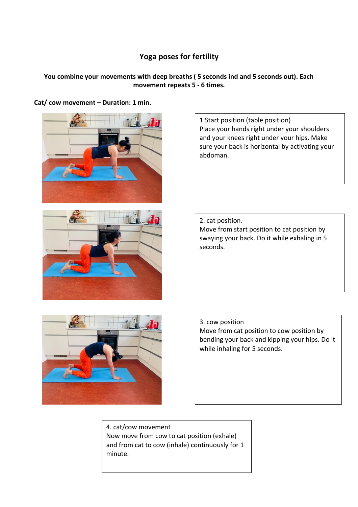# **Yoga poses for fertility**

### **You combine your movements with deep breaths ( 5 seconds ind and 5 seconds out). Each movement repeats 5 - 6 times.**

**Cat/ cow movement – Duration: 1 min.**





1.Start position (table position) Place your hands right under your shoulders and your knees right under your hips. Make sure your back is horizontal by activating your abdoman.

2. cat position. Move from start position to cat position by swaying your back. Do it while exhaling in 5 seconds.



3. cow position Move from cat position to cow position by bending your back and kipping your hips. Do it while inhaling for 5 seconds.

4. cat/cow movement Now move from cow to cat position (exhale) and from cat to cow (inhale) continuously for 1 minute.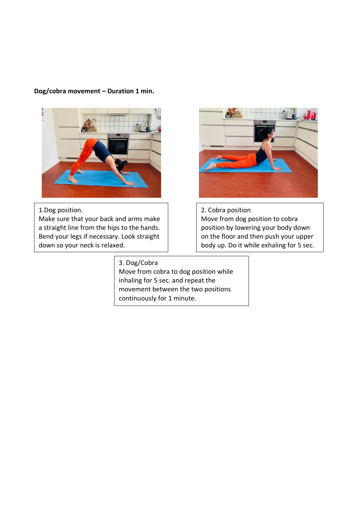#### **Dog/cobra movement – Duration 1 min.**



1.Dog position. Make sure that your back and arms make a straight line from the hips to the hands. Bend your legs if necessary. Look straight down so your neck is relaxed.

### 3. Dog/Cobra

Move from cobra to dog position while inhaling for 5 sec. and repeat the movement between the two positions continuously for 1 minute.



2. Cobra position Move from dog position to cobra position by lowering your body down on the floor and then push your upper body up. Do it while exhaling for 5 sec.